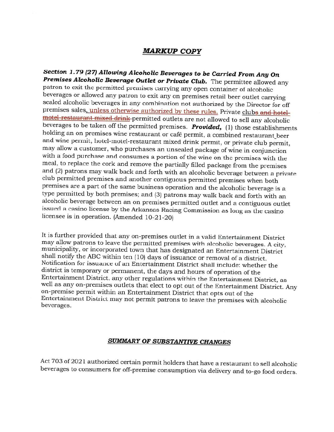## **MARKUP COPY**

Section 1.79 (27) Allowing Alcoholic Beverages to be Carried From Any On Premises Alcoholic Beverage Outlet or Private Club. The permittee allowed any patron to exit the permitted premises carrying any open container of alcoholic beverages or allowed any patron to exit any on premises retail beer outlet carrying sealed alcoholic beverages in any combination not authorized by the Director for off premises sales, unless otherwise authorized by these rules. Private clubs and hotelmotel restaurant mixed drink permitted outlets are not allowed to sell any alcoholic beverages to be taken off the permitted premises. Provided, (1) those establishments holding an on premises wine restaurant or café permit, a combined restaurant\_beer and wine permit, hotel-motel-restaurant mixed drink permit, or private club permit, may allow a customer, who purchases an unsealed package of wine in conjunction with a food purchase and consumes a portion of the wine on the premises with the meal, to replace the cork and remove the partially filled package from the premises and (2) patrons may walk back and forth with an alcoholic beverage between a private club permitted premises and another contiguous permitted premises when both premises are a part of the same business operation and the alcoholic beverage is a type permitted by both premises; and (3) patrons may walk back and forth with an alcoholic beverage between an on premises permitted outlet and a contiguous outlet issued a casino license by the Arkansas Racing Commission as long as the casino licensee is in operation. (Amended 10-21-20)

It is further provided that any on-premises outlet in a valid Entertainment District may allow patrons to leave the permitted premises with alcoholic beverages. A city, municipality, or incorporated town that has designated an Entertainment District shall notify the ABC within ten (10) days of issuance or removal of a district. Notification for issuance of an Entertainment District shall include: whether the district is temporary or permanent, the days and hours of operation of the Entertainment District, any other regulations within the Entertainment District, as well as any on-premises outlets that elect to opt out of the Entertainment District. Any on-premise permit within an Entertainment District that opts out of the Entertainment District may not permit patrons to leave the premises with alcoholic beverages.

## **SUMMARY OF SUBSTANTIVE CHANGES**

Act 703 of 2021 authorized certain permit holders that have a restaurant to sell alcoholic beverages to consumers for off-premise consumption via delivery and to-go food orders.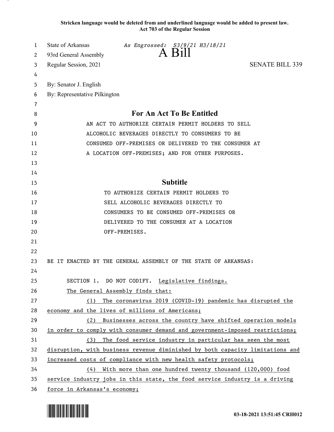**Stricken language would be deleted from and underlined language would be added to present law. Act 703 of the Regular Session**

| 1      | State of Arkansas<br>As Engrossed: S3/9/21 H3/18/21<br>A Bill                 |
|--------|-------------------------------------------------------------------------------|
| 2      | 93rd General Assembly                                                         |
| 3      | <b>SENATE BILL 339</b><br>Regular Session, 2021                               |
| 4      |                                                                               |
| 5      | By: Senator J. English                                                        |
| 6      | By: Representative Pilkington                                                 |
| 7<br>8 | <b>For An Act To Be Entitled</b>                                              |
| 9      | AN ACT TO AUTHORIZE CERTAIN PERMIT HOLDERS TO SELL                            |
| 10     | ALCOHOLIC BEVERAGES DIRECTLY TO CONSUMERS TO BE                               |
| 11     | CONSUMED OFF-PREMISES OR DELIVERED TO THE CONSUMER AT                         |
| 12     | A LOCATION OFF-PREMISES; AND FOR OTHER PURPOSES.                              |
| 13     |                                                                               |
| 14     |                                                                               |
| 15     | <b>Subtitle</b>                                                               |
| 16     | TO AUTHORIZE CERTAIN PERMIT HOLDERS TO                                        |
| 17     | SELL ALCOHOLIC BEVERAGES DIRECTLY TO                                          |
| 18     | CONSUMERS TO BE CONSUMED OFF-PREMISES OR                                      |
| 19     | DELIVERED TO THE CONSUMER AT A LOCATION                                       |
| 20     | OFF-PREMISES.                                                                 |
| 21     |                                                                               |
| 22     |                                                                               |
| 23     | BE IT ENACTED BY THE GENERAL ASSEMBLY OF THE STATE OF ARKANSAS:               |
| 24     |                                                                               |
| 25     | SECTION 1. DO NOT CODIFY. Legislative findings.                               |
| 26     | The General Assembly finds that:                                              |
| 27     | (1) The coronavirus 2019 (COVID-19) pandemic has disrupted the                |
| 28     | economy and the lives of millions of Americans;                               |
| 29     | (2) Businesses across the country have shifted operation models               |
| 30     | in order to comply with consumer demand and government-imposed restrictions;  |
| 31     | (3) The food service industry in particular has seen the most                 |
| 32     | disruption, with business revenue diminished by both capacity limitations and |
| 33     | increased costs of compliance with new health safety protocols;               |
| 34     | $(4)$ With more than one hundred twenty thousand (120,000) food               |
| 35     | service industry jobs in this state, the food service industry is a driving   |
| 36     | force in Arkansas's economy;                                                  |

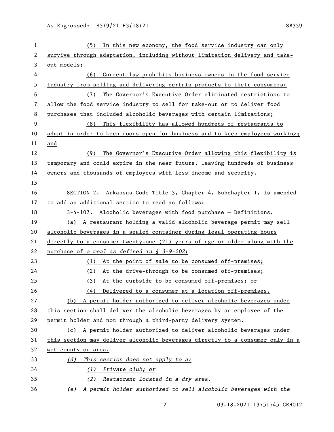| 1  | (5) In this new economy, the food service industry can only                   |
|----|-------------------------------------------------------------------------------|
| 2  | survive through adaptation, including without limitation delivery and take-   |
| 3  | out models;                                                                   |
| 4  | Current law prohibits business owners in the food service<br>(6)              |
| 5  | industry from selling and delivering certain products to their consumers;     |
| 6  | The Governor's Executive Order eliminated restrictions to<br>(7)              |
| 7  | allow the food service industry to sell for take-out or to deliver food       |
| 8  | purchases that included alcoholic beverages with certain limitations;         |
| 9  | This flexibility has allowed hundreds of restaurants to<br>(8)                |
| 10 | adapt in order to keep doors open for business and to keep employees working; |
| 11 | and                                                                           |
| 12 | The Governor's Executive Order allowing this flexibility is<br>(9)            |
| 13 | temporary and could expire in the near future, leaving hundreds of business   |
| 14 | owners and thousands of employees with less income and security.              |
| 15 |                                                                               |
| 16 | SECTION 2. Arkansas Code Title 3, Chapter 4, Subchapter 1, is amended         |
| 17 | to add an additional section to read as follows:                              |
| 18 | 3-4-107. Alcoholic beverages with food purchase - Definitions.                |
| 19 | (a) A restaurant holding a valid alcoholic beverage permit may sell           |
| 20 | alcoholic beverages in a sealed container during legal operating hours        |
| 21 | directly to a consumer twenty-one (21) years of age or older along with the   |
| 22 | purchase of a meal as defined in § 3-9-202:                                   |
| 23 | (1) At the point of sale to be consumed off-premises;                         |
| 24 | At the drive-through to be consumed off-premises;<br>(2)                      |
| 25 | At the curbside to be consumed off-premises; or<br>(3)                        |
| 26 | Delivered to a consumer at a location off-premises.<br>(4)                    |
| 27 | (b) A permit holder authorized to deliver alcoholic beverages under           |
| 28 | this section shall deliver the alcoholic beverages by an employee of the      |
| 29 | permit holder and not through a third-party delivery system.                  |
| 30 | (c) A permit holder authorized to deliver alcoholic beverages under           |
| 31 | this section may deliver alcoholic beverages directly to a consumer only in a |
| 32 | wet county or area.                                                           |
| 33 | This section does not apply to a:<br>(d)                                      |
| 34 | Private club; or<br>(1)                                                       |
| 35 | Restaurant located in a dry area.<br>(2)                                      |
| 36 | A permit holder authorized to sell alcoholic beverages with the<br>(e)        |

03-18-2021 13:51:45 CRH012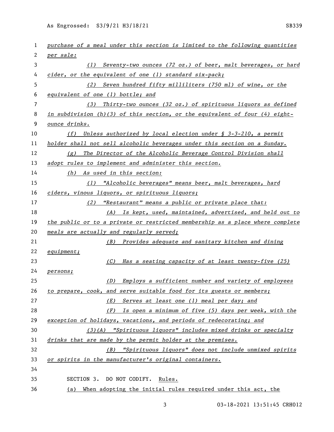| 1  | purchase of a meal under this section is limited to the following quantities  |
|----|-------------------------------------------------------------------------------|
| 2  | per sale:                                                                     |
| 3  | (1) Seventy-two ounces (72 oz.) of beer, malt beverages, or hard              |
| 4  | cider, or the equivalent of one (1) standard six-pack;                        |
| 5  | (2) Seven hundred fifty milliliters (750 ml) of wine, or the                  |
| 6  | equivalent of one (1) bottle; and                                             |
| 7  | $(3)$ Thirty-two ounces $(32 \text{ oz.})$ of spirituous liquors as defined   |
| 8  | in subdivision (h)(3) of this section, or the equivalent of four (4) eight-   |
| 9  | ounce drinks.                                                                 |
| 10 | (f) Unless authorized by local election under $\S$ 3-3-210, a permit          |
| 11 | holder shall not sell alcoholic beverages under this section on a Sunday.     |
| 12 | $(g)$ The Director of the Alcoholic Beverage Control Division shall           |
| 13 | adopt rules to implement and administer this section.                         |
| 14 | (h) As used in this section:                                                  |
| 15 | (1) "Alcoholic beverages" means beer, malt beverages, hard                    |
| 16 | ciders, vinous liquors, or spirituous liquors;                                |
| 17 | (2) "Restaurant" means a public or private place that:                        |
| 18 | (A) Is kept, used, maintained, advertised, and held out to                    |
| 19 | the public or to a private or restricted membership as a place where complete |
| 20 | meals are actually and regularly served;                                      |
| 21 | (B) Provides adequate and sanitary kitchen and dining                         |
| 22 | equipment;                                                                    |
| 23 | Has a seating capacity of at least twenty-five (25)<br>(C)                    |
| 24 | persons;                                                                      |
| 25 | Employs a sufficient number and variety of employees<br>(D)                   |
| 26 | to prepare, cook, and serve suitable food for its guests or members;          |
| 27 | (E) Serves at least one (1) meal per day; and                                 |
| 28 | $(F)$ Is open a minimum of five (5) days per week, with the                   |
| 29 | exception of holidays, vacations, and periods of redecorating; and            |
| 30 | $(3)$ (A) "Spirituous liquors" includes mixed drinks or specialty             |
| 31 | drinks that are made by the permit holder at the premises.                    |
| 32 | (B) "Spirituous liquors" does not include unmixed spirits                     |
| 33 | or spirits in the manufacturer's original containers.                         |
| 34 |                                                                               |
| 35 | SECTION 3. DO NOT CODIFY.<br>Rules.                                           |
| 36 | (a) When adopting the initial rules required under this act, the              |

03-18-2021 13:51:45 CRH012